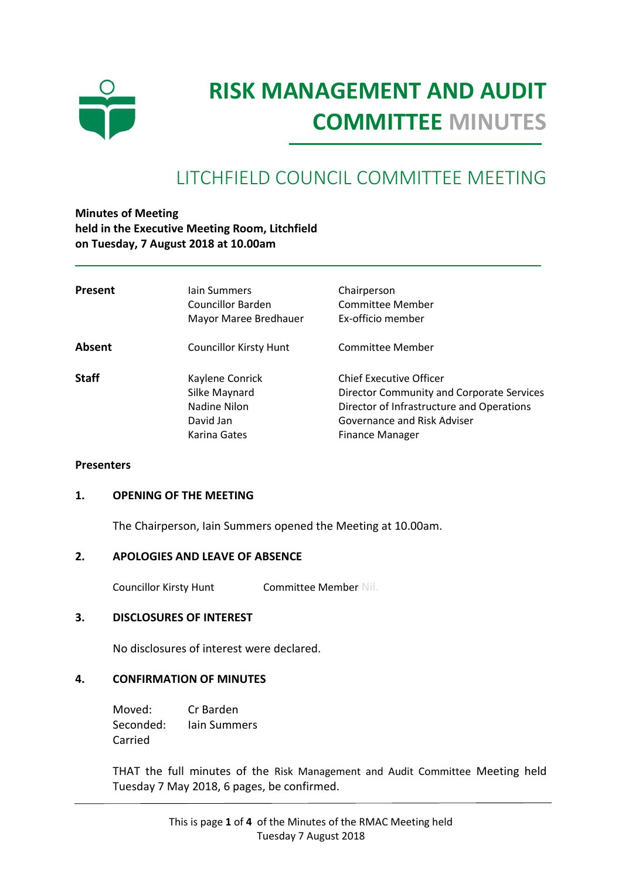

# **RISK MANAGEMENT AND AUDIT COMMITTEE MINUTES**

# LITCHFIELD COUNCIL COMMITTEE MEETING

**Minutes of Meeting held in the Executive Meeting Room, Litchfield on Tuesday, 7 August 2018 at 10.00am**

| <b>Present</b> | lain Summers<br><b>Councillor Barden</b><br>Mayor Maree Bredhauer             | Chairperson<br>Committee Member<br>Ex-officio member                                                                                                                              |
|----------------|-------------------------------------------------------------------------------|-----------------------------------------------------------------------------------------------------------------------------------------------------------------------------------|
| Absent         | <b>Councillor Kirsty Hunt</b>                                                 | Committee Member                                                                                                                                                                  |
| <b>Staff</b>   | Kaylene Conrick<br>Silke Maynard<br>Nadine Nilon<br>David Jan<br>Karina Gates | <b>Chief Executive Officer</b><br>Director Community and Corporate Services<br>Director of Infrastructure and Operations<br>Governance and Risk Adviser<br><b>Finance Manager</b> |

#### **Presenters**

#### **1. OPENING OF THE MEETING**

The Chairperson, Iain Summers opened the Meeting at 10.00am.

#### **2. APOLOGIES AND LEAVE OF ABSENCE**

Councillor Kirsty Hunt Committee Member Nil.

#### **3. DISCLOSURES OF INTEREST**

No disclosures of interest were declared.

#### **4. CONFIRMATION OF MINUTES**

Moved: Cr Barden Seconded: Iain Summers Carried

THAT the full minutes of the Risk Management and Audit Committee Meeting held Tuesday 7 May 2018, 6 pages, be confirmed.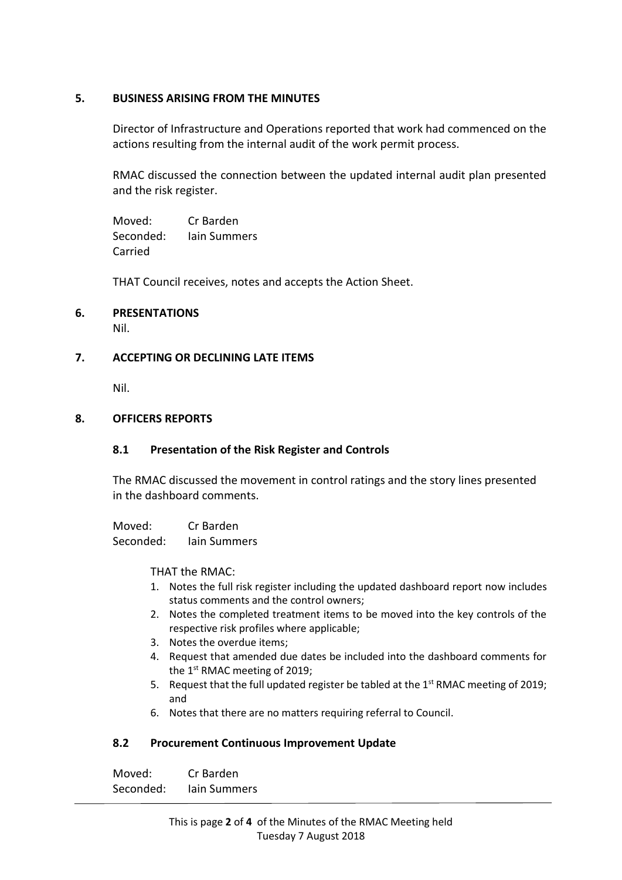# **5. BUSINESS ARISING FROM THE MINUTES**

Director of Infrastructure and Operations reported that work had commenced on the actions resulting from the internal audit of the work permit process.

RMAC discussed the connection between the updated internal audit plan presented and the risk register.

Moved: Cr Barden Seconded: Iain Summers Carried

THAT Council receives, notes and accepts the Action Sheet.

## **6. PRESENTATIONS**

Nil.

#### **7. ACCEPTING OR DECLINING LATE ITEMS**

Nil.

#### **8. OFFICERS REPORTS**

#### **8.1 Presentation of the Risk Register and Controls**

The RMAC discussed the movement in control ratings and the story lines presented in the dashboard comments.

Moved: Cr Barden Seconded: Iain Summers

THAT the RMAC:

- 1. Notes the full risk register including the updated dashboard report now includes status comments and the control owners;
- 2. Notes the completed treatment items to be moved into the key controls of the respective risk profiles where applicable;
- 3. Notes the overdue items;
- 4. Request that amended due dates be included into the dashboard comments for the 1st RMAC meeting of 2019;
- 5. Request that the full updated register be tabled at the  $1<sup>st</sup>$  RMAC meeting of 2019; and
- 6. Notes that there are no matters requiring referral to Council.

# **8.2 Procurement Continuous Improvement Update**

Moved: Cr Barden Seconded: Iain Summers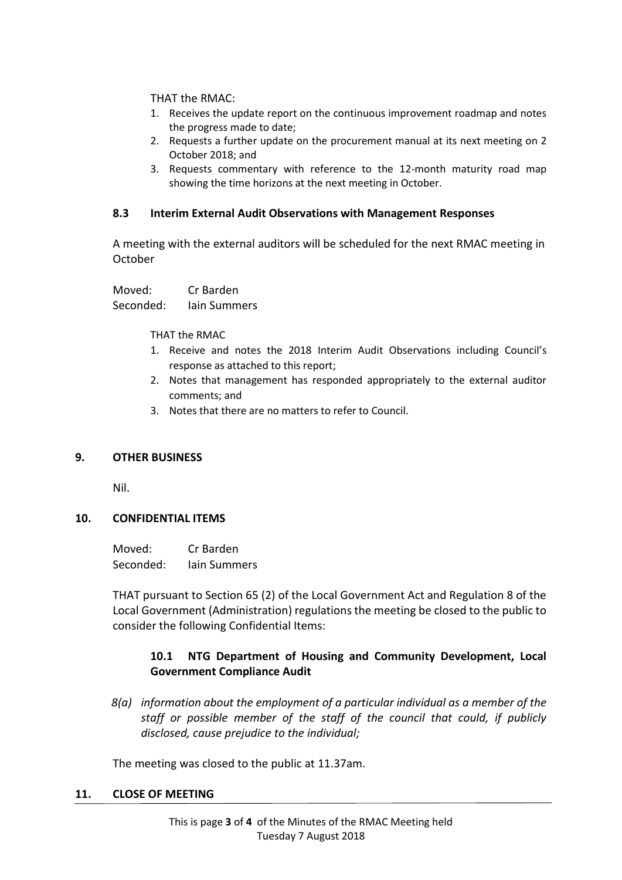THAT the RMAC:

- 1. Receives the update report on the continuous improvement roadmap and notes the progress made to date;
- 2. Requests a further update on the procurement manual at its next meeting on 2 October 2018; and
- 3. Requests commentary with reference to the 12-month maturity road map showing the time horizons at the next meeting in October.

#### **8.3 Interim External Audit Observations with Management Responses**

A meeting with the external auditors will be scheduled for the next RMAC meeting in October

Moved: Cr Barden Seconded: Iain Summers

THAT the RMAC

- 1. Receive and notes the 2018 Interim Audit Observations including Council's response as attached to this report;
- 2. Notes that management has responded appropriately to the external auditor comments; and
- 3. Notes that there are no matters to refer to Council.

#### **9. OTHER BUSINESS**

Nil.

#### **10. CONFIDENTIAL ITEMS**

Moved: Cr Barden Seconded: Iain Summers

THAT pursuant to Section 65 (2) of the Local Government Act and Regulation 8 of the Local Government (Administration) regulations the meeting be closed to the public to consider the following Confidential Items:

## **10.1 NTG Department of Housing and Community Development, Local Government Compliance Audit**

*8(a) information about the employment of a particular individual as a member of the staff or possible member of the staff of the council that could, if publicly disclosed, cause prejudice to the individual;*

The meeting was closed to the public at 11.37am.

#### **11. CLOSE OF MEETING**